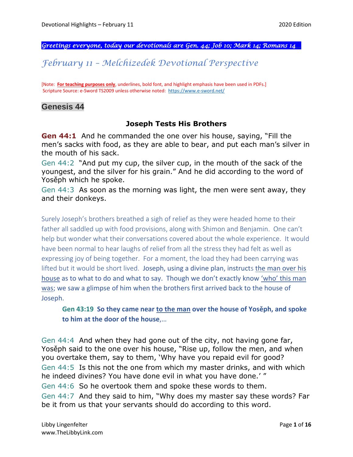*Greetings everyone, today our devotionals are Gen. 44; Job 10; Mark 14; Romans 14\_\_\_\_* 

*February 11 – Melchizedek Devotional Perspective*

[Note: **For teaching purposes only**, underlines, bold font, and highlight emphasis have been used in PDFs.] Scripture Source: e-Sword TS2009 unless otherwise noted: <https://www.e-sword.net/>

# **Genesis 44**

# **Joseph Tests His Brothers**

**Gen 44:1** And he commanded the one over his house, saying, "Fill the men's sacks with food, as they are able to bear, and put each man's silver in the mouth of his sack.

Gen 44:2 "And put my cup, the silver cup, in the mouth of the sack of the youngest, and the silver for his grain." And he did according to the word of Yosěph which he spoke.

Gen 44:3 As soon as the morning was light, the men were sent away, they and their donkeys.

Surely Joseph's brothers breathed a sigh of relief as they were headed home to their father all saddled up with food provisions, along with Shimon and Benjamin. One can't help but wonder what their conversations covered about the whole experience. It would have been normal to hear laughs of relief from all the stress they had felt as well as expressing joy of being together. For a moment, the load they had been carrying was lifted but it would be short lived. Joseph, using a divine plan, instructs the man over his house as to what to do and what to say. Though we don't exactly know 'who' this man was; we saw a glimpse of him when the brothers first arrived back to the house of Joseph.

**Gen 43:19 So they came near to the man over the house of Yosěph, and spoke to him at the door of the house**,…

Gen 44:4 And when they had gone out of the city, not having gone far, Yosěph said to the one over his house, "Rise up, follow the men, and when you overtake them, say to them, 'Why have you repaid evil for good? Gen 44:5 Is this not the one from which my master drinks, and with which he indeed divines? You have done evil in what you have done.' "

Gen 44:6 So he overtook them and spoke these words to them.

Gen 44:7 And they said to him, "Why does my master say these words? Far be it from us that your servants should do according to this word.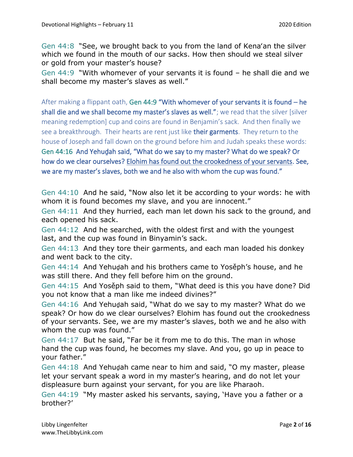Gen 44:8 "See, we brought back to you from the land of Kena'an the silver which we found in the mouth of our sacks. How then should we steal silver or gold from your master's house?

Gen 44:9 "With whomever of your servants it is found – he shall die and we shall become my master's slaves as well."

After making a flippant oath, Gen 44:9 "With whomever of your servants it is found – he shall die and we shall become my master's slaves as well."; we read that the silver [silver] meaning redemption] cup and coins are found in Benjamin's sack. And then finally we see a breakthrough. Their hearts are rent just like **their garments**. They return to the house of Joseph and fall down on the ground before him and Judah speaks these words: Gen 44:16 And Yehuḏah said, "What do we say to my master? What do we speak? Or how do we clear ourselves? Elohim has found out the crookedness of your servants. See, we are my master's slaves, both we and he also with whom the cup was found."

Gen 44:10 And he said, "Now also let it be according to your words: he with whom it is found becomes my slave, and you are innocent."

Gen 44:11 And they hurried, each man let down his sack to the ground, and each opened his sack.

Gen 44:12 And he searched, with the oldest first and with the youngest last, and the cup was found in Binyamin's sack.

Gen 44:13 And they tore their garments, and each man loaded his donkey and went back to the city.

Gen 44:14 And Yehuḏah and his brothers came to Yosěph's house, and he was still there. And they fell before him on the ground.

Gen 44:15 And Yosěph said to them, "What deed is this you have done? Did you not know that a man like me indeed divines?"

Gen 44:16 And Yehuḏah said, "What do we say to my master? What do we speak? Or how do we clear ourselves? Elohim has found out the crookedness of your servants. See, we are my master's slaves, both we and he also with whom the cup was found."

Gen 44:17 But he said, "Far be it from me to do this. The man in whose hand the cup was found, he becomes my slave. And you, go up in peace to your father."

Gen 44:18 And Yehuḏah came near to him and said, "O my master, please let your servant speak a word in my master's hearing, and do not let your displeasure burn against your servant, for you are like Pharaoh.

Gen 44:19 "My master asked his servants, saying, 'Have you a father or a brother?'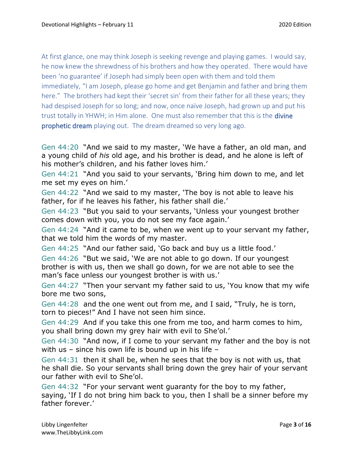At first glance, one may think Joseph is seeking revenge and playing games. I would say, he now knew the shrewdness of his brothers and how they operated. There would have been 'no guarantee' if Joseph had simply been open with them and told them immediately, "I am Joseph, please go home and get Benjamin and father and bring them here." The brothers had kept their 'secret sin' from their father for all these years; they had despised Joseph for so long; and now, once naïve Joseph, had grown up and put his trust totally in YHWH; in Him alone. One must also remember that this is the divine prophetic dream playing out. The dream dreamed so very long ago.

Gen 44:20 "And we said to my master, 'We have a father, an old man, and a young child of *his* old age, and his brother is dead, and he alone is left of his mother's children, and his father loves him.'

Gen 44:21 "And you said to your servants, 'Bring him down to me, and let me set my eyes on him.'

Gen 44:22 "And we said to my master, 'The boy is not able to leave his father, for if he leaves his father, his father shall die.'

Gen 44:23 "But you said to your servants, 'Unless your youngest brother comes down with you, you do not see my face again.'

Gen 44:24 "And it came to be, when we went up to your servant my father, that we told him the words of my master.

Gen 44:25 "And our father said, 'Go back and buy us a little food.'

Gen 44:26 "But we said, 'We are not able to go down. If our youngest brother is with us, then we shall go down, for we are not able to see the man's face unless our youngest brother is with us.'

Gen 44:27 "Then your servant my father said to us, 'You know that my wife bore me two sons,

Gen 44:28 and the one went out from me, and I said, "Truly, he is torn, torn to pieces!" And I have not seen him since.

Gen 44:29 And if you take this one from me too, and harm comes to him, you shall bring down my grey hair with evil to She'ol.'

Gen 44:30 "And now, if I come to your servant my father and the boy is not with us – since his own life is bound up in his life –

Gen 44:31 then it shall be, when he sees that the boy is not with us, that he shall die. So your servants shall bring down the grey hair of your servant our father with evil to She'ol.

Gen 44:32 "For your servant went guaranty for the boy to my father, saying, 'If I do not bring him back to you, then I shall be a sinner before my father forever.'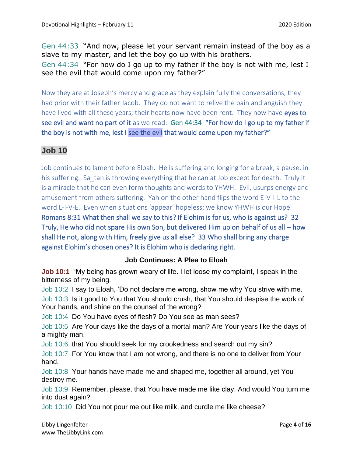Gen 44:33 "And now, please let your servant remain instead of the boy as a slave to my master, and let the boy go up with his brothers. Gen 44:34 "For how do I go up to my father if the boy is not with me, lest I see the evil that would come upon my father?"

Now they are at Joseph's mercy and grace as they explain fully the conversations, they had prior with their father Jacob. They do not want to relive the pain and anguish they have lived with all these years; their hearts now have been rent. They now have eyes to see evil and want no part of it as we read: Gen 44:34 "For how do I go up to my father if the boy is not with me, lest I see the evil that would come upon my father?"

# **Job 10**

Job continues to lament before Eloah. He is suffering and longing for a break, a pause, in his suffering. Sa tan is throwing everything that he can at Job except for death. Truly it is a miracle that he can even form thoughts and words to YHWH. Evil, usurps energy and amusement from others suffering. Yah on the other hand flips the word E-V-I-L to the word L-I-V-E. Even when situations 'appear' hopeless; we know YHWH is our Hope. Romans 8:31 What then shall we say to this? If Elohim is for us, who is against us? 32 Truly, He who did not spare His own Son, but delivered Him up on behalf of us all – how shall He not, along with Him, freely give us all else? 33 Who shall bring any charge against Elohim's chosen ones? It is Elohim who is declaring right.

## **Job Continues: A Plea to Eloah**

**Job 10:1** "My being has grown weary of life. I let loose my complaint, I speak in the bitterness of my being.

Job 10:2 I say to Eloah, 'Do not declare me wrong, show me why You strive with me. Job 10:3 Is it good to You that You should crush, that You should despise the work of Your hands, and shine on the counsel of the wrong?

Job 10:4 Do You have eyes of flesh? Do You see as man sees?

Job 10:5 Are Your days like the days of a mortal man? Are Your years like the days of a mighty man,

Job 10:6 that You should seek for my crookedness and search out my sin?

Job 10:7 For You know that I am not wrong, and there is no one to deliver from Your hand.

Job 10:8 Your hands have made me and shaped me, together all around, yet You destroy me.

Job 10:9 Remember, please, that You have made me like clay. And would You turn me into dust again?

Job 10:10 Did You not pour me out like milk, and curdle me like cheese?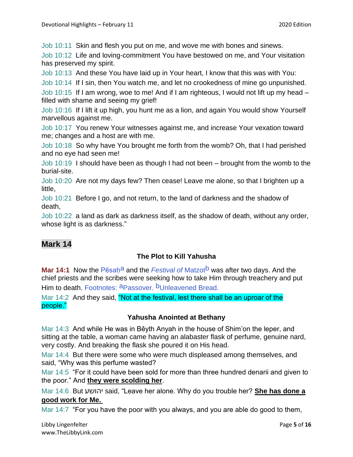Job 10:11 Skin and flesh you put on me, and wove me with bones and sinews.

Job 10:12 Life and loving-commitment You have bestowed on me, and Your visitation has preserved my spirit.

Job 10:13 And these You have laid up in Your heart, I know that this was with You:

Job 10:14 If I sin, then You watch me, and let no crookedness of mine go unpunished.

Job 10:15 If I am wrong, woe to me! And if I am righteous, I would not lift up my head – filled with shame and seeing my grief!

Job 10:16 If I lift it up high, you hunt me as a lion, and again You would show Yourself marvellous against me.

Job 10:17 You renew Your witnesses against me, and increase Your vexation toward me; changes and a host are with me.

Job 10:18 So why have You brought me forth from the womb? Oh, that I had perished and no eye had seen me!

Job 10:19 I should have been as though I had not been – brought from the womb to the burial-site.

Job 10:20 Are not my days few? Then cease! Leave me alone, so that I brighten up a little,

Job 10:21 Before I go, and not return, to the land of darkness and the shadow of death,

Job 10:22 a land as dark as darkness itself, as the shadow of death, without any order, whose light is as darkness."

# **Mark 14**

# **The Plot to Kill Yahusha**

**Mar 14:1** Now the Pesah<sup>a</sup> and the *Festival of* Matzot<sup>b</sup> was after two days. And the chief priests and the scribes were seeking how to take Him through treachery and put Him to death. Footnotes: aPassover. **bUnleavened Bread.** 

Mar 14:2 And they said, "Not at the festival, lest there shall be an uproar of the people."

# **Yahusha Anointed at Bethany**

Mar 14:3 And while He was in Běyth Anyah in the house of Shim'on the leper, and sitting at the table, a woman came having an alabaster flask of perfume, genuine nard, very costly. And breaking the flask she poured it on His head.

Mar 14:4 But there were some who were much displeased among themselves, and said, "Why was this perfume wasted?

Mar 14:5 "For it could have been sold for more than three hundred denarii and given to the poor." And **they were scolding her**.

Mar 14:6 But יהושע said, "Leave her alone. Why do you trouble her? **She has done a good work for Me.**

Mar 14:7 "For you have the poor with you always, and you are able do good to them,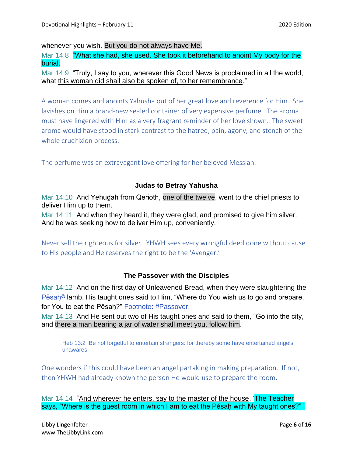whenever you wish. But you do not always have Me.

Mar 14:8 "What she had, she used. She took it beforehand to anoint My body for the burial.

Mar 14:9 "Truly, I say to you, wherever this Good News is proclaimed in all the world, what this woman did shall also be spoken of, to her remembrance."

A woman comes and anoints Yahusha out of her great love and reverence for Him. She lavishes on Him a brand-new sealed container of very expensive perfume. The aroma must have lingered with Him as a very fragrant reminder of her love shown. The sweet aroma would have stood in stark contrast to the hatred, pain, agony, and stench of the whole crucifixion process.

The perfume was an extravagant love offering for her beloved Messiah.

## **Judas to Betray Yahusha**

Mar 14:10 And Yehudah from Qerioth, one of the twelve, went to the chief priests to deliver Him up to them.

Mar 14:11 And when they heard it, they were glad, and promised to give him silver. And he was seeking how to deliver Him up, conveniently.

Never sell the righteous for silver. YHWH sees every wrongful deed done without cause to His people and He reserves the right to be the 'Avenger.'

## **The Passover with the Disciples**

Mar 14:12 And on the first day of Unleavened Bread, when they were slaughtering the Pěsah<sup>a</sup> lamb, His taught ones said to Him, "Where do You wish us to go and prepare, for You to eat the Pěsah?" Footnote: a Passover.

Mar 14:13 And He sent out two of His taught ones and said to them, "Go into the city, and there a man bearing a jar of water shall meet you, follow him.

Heb 13:2 Be not forgetful to entertain strangers: for thereby some have entertained angels unawares.

One wonders if this could have been an angel partaking in making preparation. If not, then YHWH had already known the person He would use to prepare the room.

Mar 14:14 "And wherever he enters, say to the master of the house, 'The Teacher says, "Where is the guest room in which I am to eat the Pěsaḥ with My taught ones?" '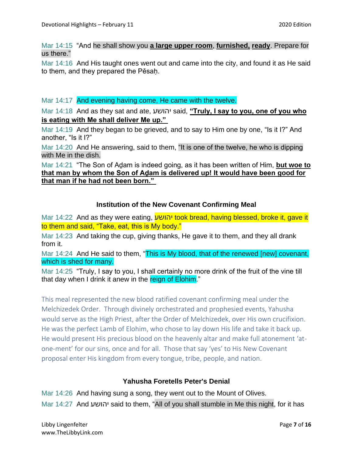Mar 14:15 "And he shall show you **a large upper room**, **furnished, ready**. Prepare for us there."

Mar 14:16 And His taught ones went out and came into the city, and found it as He said to them, and they prepared the Pěsaḥ.

#### Mar 14:17 And evening having come, He came with the twelve.

Mar 14:18 And as they sat and ate, יהושע said, **"Truly, I say to you, one of you who is eating with Me shall deliver Me up."**

Mar 14:19 And they began to be grieved, and to say to Him one by one, "Is it I?" And another, "Is it I?"

Mar 14:20 And He answering, said to them, "It is one of the twelve, he who is dipping with Me in the dish.

Mar 14:21 "The Son of Aḏam is indeed going, as it has been written of Him, **but woe to that man by whom the Son of Aḏam is delivered up! It would have been good for that man if he had not been born."**

## **Institution of the New Covenant Confirming Meal**

Mar 14:22 And as they were eating, יהושע took bread, having blessed, broke it, gave it to them and said, "Take, eat, this is My body."

Mar 14:23 And taking the cup, giving thanks, He gave it to them, and they all drank from it.

Mar 14:24 And He said to them, "This is My blood, that of the renewed [new] covenant, which is shed for many.

Mar 14:25 "Truly, I say to you, I shall certainly no more drink of the fruit of the vine till that day when I drink it anew in the reign of Elohim."

This meal represented the new blood ratified covenant confirming meal under the Melchizedek Order. Through divinely orchestrated and prophesied events, Yahusha would serve as the High Priest, after the Order of Melchizedek, over His own crucifixion. He was the perfect Lamb of Elohim, who chose to lay down His life and take it back up. He would present His precious blood on the heavenly altar and make full atonement 'atone-ment' for our sins, once and for all. Those that say 'yes' to His New Covenant proposal enter His kingdom from every tongue, tribe, people, and nation.

## **Yahusha Foretells Peter's Denial**

Mar 14:26 And having sung a song, they went out to the Mount of Olives. Mar 14:27 And יהושע said to them, "All of you shall stumble in Me this night, for it has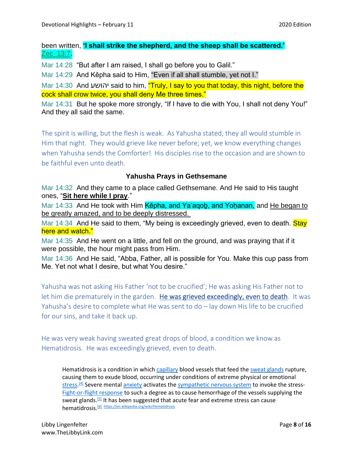been written, **'I shall strike the shepherd, and the sheep shall be scattered.'** Zec\_13:7.

Mar 14:28 "But after I am raised, I shall go before you to Galil."

Mar 14:29 And Kěpha said to Him, "Even if all shall stumble, yet not I."

Mar 14:30 And יהושע said to him, "Truly, I say to you that today, this night, before the cock shall crow twice, you shall deny Me three times."

Mar 14:31 But he spoke more strongly, "If I have to die with You, I shall not deny You!" And they all said the same.

The spirit is willing, but the flesh is weak. As Yahusha stated, they all would stumble in Him that night. They would grieve like never before; yet, we know everything changes when Yahusha sends the Comforter! His disciples rise to the occasion and are shown to be faithful even unto death.

#### **Yahusha Prays in Gethsemane**

Mar 14:32 And they came to a place called Gethsemane. And He said to His taught ones, "**Sit here while I pray**."

Mar 14:33 And He took with Him Kepha, and Ya'aqob, and Yoḥanan, and He began to be greatly amazed, and to be deeply distressed.

Mar 14:34 And He said to them, "My being is exceedingly grieved, even to death. Stay here and watch."

Mar 14:35 And He went on a little, and fell on the ground, and was praying that if it were possible, the hour might pass from Him.

Mar 14:36 And He said, "Abba, Father, all is possible for You. Make this cup pass from Me. Yet not what I desire, but what You desire."

Yahusha was not asking His Father 'not to be crucified'; He was asking His Father not to let him die prematurely in the garden. He was grieved exceedingly, even to death. It was Yahusha's desire to complete what He was sent to do – lay down His life to be crucified for our sins, and take it back up.

He was very weak having sweated great drops of blood, a condition we know as Hematidrosis. He was exceedingly grieved, even to death.

Hematidrosis is a condition in whic[h capillary](https://en.wikipedia.org/wiki/Capillary) blood vessels that feed the [sweat glands](https://en.wikipedia.org/wiki/Sweat_glands) rupture, causing them to exude blood, occurring under conditions of extreme physical or emotional [stress.](https://en.wikipedia.org/wiki/Stress_(biology))<sup>[\[4\]](https://en.wikipedia.org/wiki/Hematidrosis#cite_note-4)</sup> Severe mental [anxiety](https://en.wikipedia.org/wiki/Anxiety) activates th[e sympathetic nervous system](https://en.wikipedia.org/wiki/Sympathetic_nervous_system) to invoke the stress-[Fight-or-flight response](https://en.wikipedia.org/wiki/Fight-or-flight_response) to such a degree as to cause hemorrhage of the vessels supplying the sweat glands.<sup>[\[5\]](https://en.wikipedia.org/wiki/Hematidrosis#cite_note-JerajaniEtAl2009-5)</sup> It has been suggested that acute fear and extreme stress can cause hematidrosis.[\[6\]](https://en.wikipedia.org/wiki/Hematidrosis#cite_note-Holoubek-6) <https://en.wikipedia.org/wiki/Hematidrosis>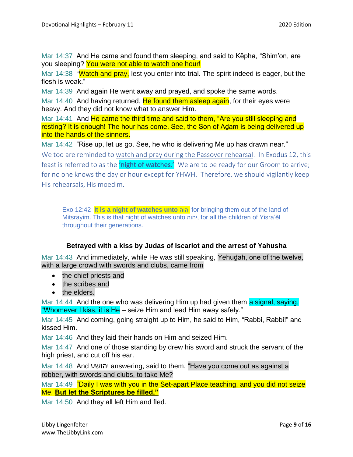Mar 14:37 And He came and found them sleeping, and said to Kěpha, "Shim'on, are you sleeping? You were not able to watch one hour!

Mar 14:38 "Watch and pray, lest you enter into trial. The spirit indeed is eager, but the flesh is weak."

Mar 14:39 And again He went away and prayed, and spoke the same words.

Mar 14:40 And having returned, He found them asleep again, for their eyes were heavy. And they did not know what to answer Him.

Mar 14:41 And He came the third time and said to them, "Are you still sleeping and resting? It is enough! The hour has come. See, the Son of Aḏam is being delivered up into the hands of the sinners.

Mar 14:42 "Rise up, let us go. See, he who is delivering Me up has drawn near."

We too are reminded to watch and pray during the Passover rehearsal. In Exodus 12, this feast is referred to as the **'night of watches.'** We are to be ready for our Groom to arrive; for no one knows the day or hour except for YHWH. Therefore, we should vigilantly keep His rehearsals, His moedim.

Exo 12:42 **It is a night of watches unto** יהוה for bringing them out of the land of Mitsrayim. This is that night of watches unto יהוה, for all the children of Yisra'ěl throughout their generations.

## **Betrayed with a kiss by Judas of Iscariot and the arrest of Yahusha**

Mar 14:43 And immediately, while He was still speaking, Yehudah, one of the twelve, with a large crowd with swords and clubs, came from

- the chief priests and
- the scribes and
- the elders.

Mar 14:44 And the one who was delivering Him up had given them a signal, saying, "Whomever I kiss, it is He – seize Him and lead Him away safely."

Mar 14:45 And coming, going straight up to Him, he said to Him, "Rabbi, Rabbi!" and kissed Him.

Mar 14:46 And they laid their hands on Him and seized Him.

Mar 14:47 And one of those standing by drew his sword and struck the servant of the high priest, and cut off his ear.

Mar 14:48 And יהושע answering, said to them, "Have you come out as against a robber, with swords and clubs, to take Me?

Mar 14:49 "Daily I was with you in the Set-apart Place teaching, and you did not seize Me. **But let the Scriptures be filled."**

Mar 14:50 And they all left Him and fled.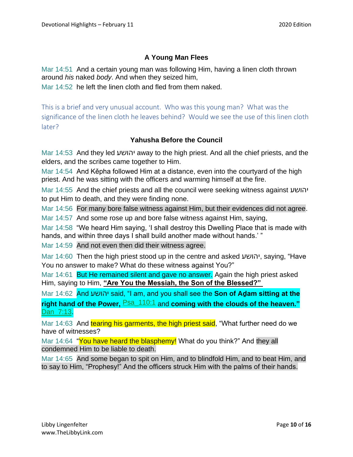# **A Young Man Flees**

Mar 14:51 And a certain young man was following Him, having a linen cloth thrown around *his* naked *body*. And when they seized him,

Mar 14:52 he left the linen cloth and fled from them naked.

This is a brief and very unusual account. Who was this young man? What was the significance of the linen cloth he leaves behind? Would we see the use of this linen cloth later?

# **Yahusha Before the Council**

Mar 14:53 And they led יהושע away to the high priest. And all the chief priests, and the elders, and the scribes came together to Him.

Mar 14:54 And Kěpha followed Him at a distance, even into the courtyard of the high priest. And he was sitting with the officers and warming himself at the fire.

Mar 14:55 And the chief priests and all the council were seeking witness against יהושע to put Him to death, and they were finding none.

Mar 14:56 For many bore false witness against Him, but their evidences did not agree.

Mar 14:57 And some rose up and bore false witness against Him, saying,

Mar 14:58 "We heard Him saying, 'I shall destroy this Dwelling Place that is made with hands, and within three days I shall build another made without hands.' "

Mar 14:59 And not even then did their witness agree.

Mar 14:60 Then the high priest stood up in the centre and asked יהושע, saying, "Have You no answer to make? What do these witness against You?"

Mar 14:61 But He remained silent and gave no answer. Again the high priest asked Him, saying to Him, **"Are You the Messiah, the Son of the Blessed?"**

Mar 14:62 And יהושע said, "I am, and you shall see the **Son of Aḏam sitting at the right hand of the Power, Psa** 110:1 and **coming with the clouds of the heaven.**" Dan 7:13.

Mar 14:63 And tearing his garments, the high priest said, "What further need do we have of witnesses?

Mar 14:64 "You have heard the blasphemy! What do you think?" And they all condemned Him to be liable to death.

Mar 14:65 And some began to spit on Him, and to blindfold Him, and to beat Him, and to say to Him, "Prophesy!" And the officers struck Him with the palms of their hands.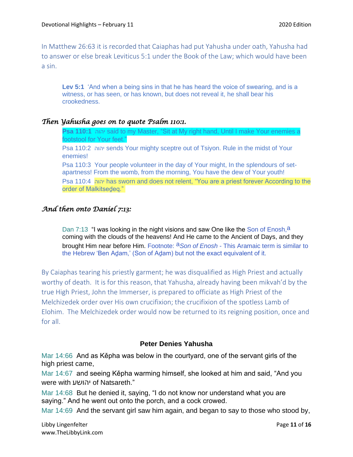In Matthew 26:63 it is recorded that Caiaphas had put Yahusha under oath, Yahusha had to answer or else break Leviticus 5:1 under the Book of the Law; which would have been a sin.

**Lev 5:1** 'And when a being sins in that he has heard the voice of swearing, and is a witness, or has seen, or has known, but does not reveal it, he shall bear his crookedness.

#### *Then Yahusha goes on to quote Psalm 110:1.*

**Psa 110:1** יהוה said to my Master, "Sit at My right hand, Until I make Your enemies a footstool for Your feet."

Psa 110:2 יהוה sends Your mighty sceptre out of Tsiyon. Rule in the midst of Your enemies!

Psa 110:3 Your people volunteer in the day of Your might, In the splendours of setapartness! From the womb, from the morning, You have the dew of Your youth! Psa 110:4 יהוה has sworn and does not relent, "You are a priest forever According to the

order of Malkitsedeq."

## *And then onto Daniel 7:13:*

Dan 7:13 "I was looking in the night visions and saw One like the Son of Enosh,  $a$ coming with the clouds of the heavens! And He came to the Ancient of Days, and they brought Him near before Him. Footnote: a*Son of Enosh* - This Aramaic term is similar to the Hebrew 'Ben Aḏam,' (Son of Aḏam) but not the exact equivalent of it.

By Caiaphas tearing his priestly garment; he was disqualified as High Priest and actually worthy of death. It is for this reason, that Yahusha, already having been mikvah'd by the true High Priest, John the Immerser, is prepared to officiate as High Priest of the Melchizedek order over His own crucifixion; the crucifixion of the spotless Lamb of Elohim. The Melchizedek order would now be returned to its reigning position, once and for all.

## **Peter Denies Yahusha**

Mar 14:66 And as Kěpha was below in the courtyard, one of the servant girls of the high priest came,

Mar 14:67 and seeing Kěpha warming himself, she looked at him and said, "And you were with יהושע of Natsareth."

Mar 14:68 But he denied it, saying, "I do not know nor understand what you are saying." And he went out onto the porch, and a cock crowed.

Mar 14:69 And the servant girl saw him again, and began to say to those who stood by,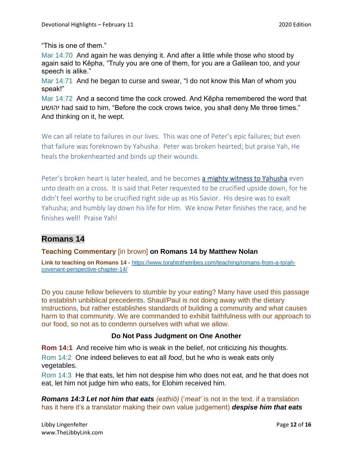"This is one of them."

Mar 14:70 And again he was denying it. And after a little while those who stood by again said to Kěpha, "Truly you are one of them, for you are a Galilean too, and your speech is alike."

Mar 14:71 And he began to curse and swear, "I do not know this Man of whom you speak!"

Mar 14:72 And a second time the cock crowed. And Kěpha remembered the word that יהושע had said to him, "Before the cock crows twice, you shall deny Me three times." And thinking on it, he wept.

We can all relate to failures in our lives. This was one of Peter's epic failures; but even that failure was foreknown by Yahusha. Peter was broken hearted; but praise Yah, He heals the brokenhearted and binds up their wounds.

Peter's broken heart is later healed, and he becomes a mighty witness to Yahusha even unto death on a cross. It is said that Peter requested to be crucified upside down, for he didn't feel worthy to be crucified right side up as His Savior. His desire was to exalt Yahusha; and humbly lay down his life for Him. We know Peter finishes the race, and he finishes well! Praise Yah!

# **Romans 14**

**Teaching Commentary** [in brown] **on Romans 14 by Matthew Nolan**

**Link to teaching on Romans 14 -** [https://www.torahtothetribes.com/teaching/romans-from-a-torah](https://www.torahtothetribes.com/teaching/romans-from-a-torah-covenant-perspective-chapter-14/)[covenant-perspective-chapter-14/](https://www.torahtothetribes.com/teaching/romans-from-a-torah-covenant-perspective-chapter-14/)

Do you cause fellow believers to stumble by your eating? Many have used this passage to establish unbiblical precedents. Shaul/Paul is not doing away with the dietary instructions, but rather establishes standards of building a community and what causes harm to that community. We are commanded to exhibit faithfulness with our approach to our food, so not as to condemn ourselves with what we allow.

## **Do Not Pass Judgment on One Another**

**Rom 14:1** And receive him who is weak in the belief, not criticizing *his* thoughts. Rom 14:2 One indeed believes to eat all *food*, but he who is weak eats only vegetables.

Rom 14:3 He that eats, let him not despise him who does not eat, and he that does not eat, let him not judge him who eats, for Elohim received him.

*Romans 14:3 Let not him that eats (esthiō)* ('*meat'* is not in the text. if a translation has it here it's a translator making their own value judgement) *despise him that eats*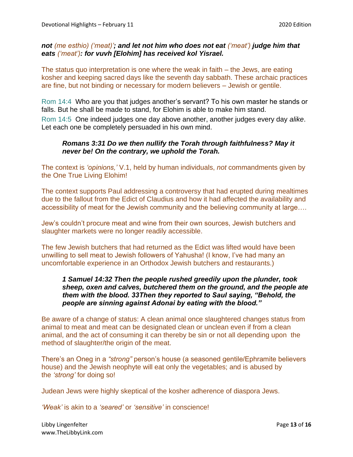#### *not (me esthio) ('meat)'; and let not him who does not eat ('meat') judge him that eats ('meat'): for vuvh [Elohim] has received kol Yisrael.*

The status quo interpretation is one where the weak in faith – the Jews, are eating kosher and keeping sacred days like the seventh day sabbath. These archaic practices are fine, but not binding or necessary for modern believers – Jewish or gentile.

Rom 14:4 Who are you that judges another's servant? To his own master he stands or falls. But he shall be made to stand, for Elohim is able to make him stand.

Rom 14:5 One indeed judges one day above another, another judges every day *alike*. Let each one be completely persuaded in his own mind.

#### *Romans 3:31 Do we then nullify the Torah through faithfulness? May it never be! On the contrary, we uphold the Torah.*

The context is *'opinions,'* V.1, held by human individuals, *not* commandments given by the One True Living Elohim!

The context supports Paul addressing a controversy that had erupted during mealtimes due to the fallout from the Edict of Claudius and how it had affected the availability and accessibility of meat for the Jewish community and the believing community at large….

Jew's couldn't procure meat and wine from their own sources, Jewish butchers and slaughter markets were no longer readily accessible.

The few Jewish butchers that had returned as the Edict was lifted would have been unwilling to sell meat to Jewish followers of Yahusha! (I know, I've had many an uncomfortable experience in an Orthodox Jewish butchers and restaurants.)

## *1 Samuel 14:32 Then the people rushed greedily upon the plunder, took sheep, oxen and calves, butchered them on the ground, and the people ate them with the blood. 33Then they reported to Saul saying, "Behold, the people are sinning against Adonai by eating with the blood."*

Be aware of a change of status: A clean animal once slaughtered changes status from animal to meat and meat can be designated clean or unclean even if from a clean animal, and the act of consuming it can thereby be sin or not all depending upon the method of slaughter/the origin of the meat.

There's an Oneg in a *"strong"* person's house (a seasoned gentile/Ephramite believers house) and the Jewish neophyte will eat only the vegetables; and is abused by the *'strong'* for doing so!

Judean Jews were highly skeptical of the kosher adherence of diaspora Jews.

*'Weak'* is akin to a *'seared'* or *'sensitive'* in conscience!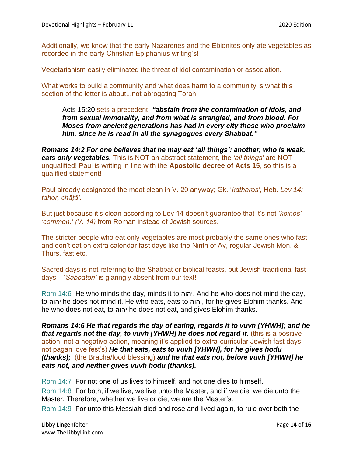Additionally, we know that the early Nazarenes and the Ebionites only ate vegetables as recorded in the early Christian Epiphanius writing's!

Vegetarianism easily eliminated the threat of idol contamination or association.

What works to build a community and what does harm to a community is what this section of the letter is about...not abrogating Torah!

Acts 15:20 sets a precedent: *"abstain from the contamination of idols, and from sexual immorality, and from what is strangled, and from blood. For Moses from ancient generations has had in every city those who proclaim him, since he is read in all the synagogues every Shabbat."*

*Romans 14:2 For one believes that he may eat 'all things': another, who is weak, eats only vegetables.* This is NOT an abstract statement, the *'all things'* are NOT unqualified! Paul is writing in line with the **Apostolic decree of Acts 15**, so this is a qualified statement!

Paul already designated the meat clean in V. 20 anyway; Gk. '*katharos',* Heb. *Lev 14: tahor, châṭâ'.*

But just because it's clean according to Lev 14 doesn't guarantee that it's not *'koinos' 'common.' (V. 14)* from Roman instead of Jewish sources.

The stricter people who eat only vegetables are most probably the same ones who fast and don't eat on extra calendar fast days like the Ninth of Av, regular Jewish Mon. & Thurs. fast etc.

Sacred days is not referring to the Shabbat or biblical feasts, but Jewish traditional fast days – '*Sabbaton'* is glaringly absent from our text!

Rom 14:6 He who minds the day, minds it to יהוה. And he who does not mind the day, to יהוה he does not mind it. He who eats, eats to יהוה, for he gives Elohim thanks. And he who does not eat, to יהוה he does not eat, and gives Elohim thanks.

*Romans 14:6 He that regards the day of eating, regards it to vuvh [YHWH]; and he that regards not the day, to vuvh [YHWH] he does not regard it.* (this is a positive action, not a negative action, meaning it's applied to extra-curricular Jewish fast days, not pagan love fest's) *He that eats, eats to vuvh [YHWH], for he gives hodu (thanks);* (the Bracha/food blessing) *and he that eats not, before vuvh [YHWH] he eats not, and neither gives vuvh hodu (thanks).*

Rom 14:7 For not one of us lives to himself, and not one dies to himself.

Rom 14:8 For both, if we live, we live unto the Master, and if we die, we die unto the Master. Therefore, whether we live or die, we are the Master's.

Rom 14:9 For unto this Messiah died and rose and lived again, to rule over both the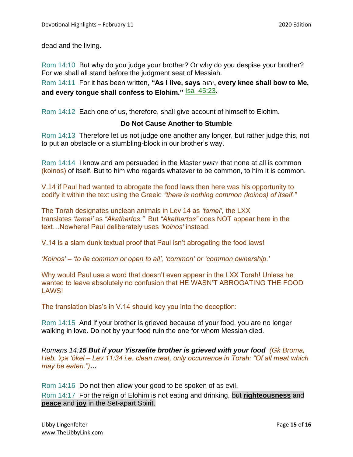dead and the living.

Rom 14:10 But why do you judge your brother? Or why do you despise your brother? For we shall all stand before the judgment seat of Messiah.

Rom 14:11 For it has been written, **"As I live, says** יהוה**, every knee shall bow to Me,**  and every tongue shall confess to Elohim." **Isa\_45:23**.

Rom 14:12 Each one of us, therefore, shall give account of himself to Elohim.

#### **Do Not Cause Another to Stumble**

Rom 14:13 Therefore let us not judge one another any longer, but rather judge this, not to put an obstacle or a stumbling-block in our brother's way.

Rom 14:14 I know and am persuaded in the Master יהושע that none at all is common (koinos) of itself. But to him who regards whatever to be common, to him it is common.

V.14 if Paul had wanted to abrogate the food laws then here was his opportunity to codify it within the text using the Greek: *"there is nothing common (koinos) of itself."*

The Torah designates unclean animals in Lev 14 as *'tamei',* the LXX translates *'tamei'* as *"Akathartos."* But *"Akathartos"* does NOT appear here in the text…Nowhere! Paul deliberately uses *'koinos'* instead.

V.14 is a slam dunk textual proof that Paul isn't abrogating the food laws!

*'Koinos' – 'to lie common or open to all', 'common' or 'common ownership.'*

Why would Paul use a word that doesn't even appear in the LXX Torah! Unless he wanted to leave absolutely no confusion that HE WASN'T ABROGATING THE FOOD LAWS!

The translation bias's in V.14 should key you into the deception:

Rom 14:15 And if your brother is grieved because of your food, you are no longer walking in love. Do not by your food ruin the one for whom Messiah died.

*Romans 14:15 But if your Yisraelite brother is grieved with your food (Gk Broma, Heb. לֶכֹא' ôkel – Lev 11:34 i.e. clean meat, only occurrence in Torah: "Of all meat which may be eaten.")…* 

Rom 14:16 Do not then allow your good to be spoken of as evil.

Rom 14:17 For the reign of Elohim is not eating and drinking, but **righteousness** and **peace** and **joy** in the Set-apart Spirit.